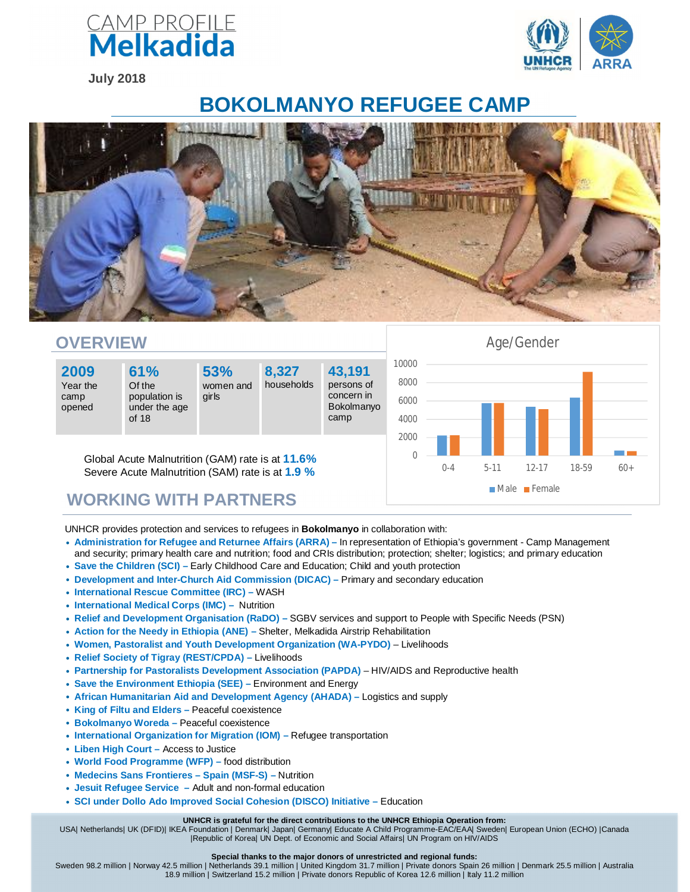

**July 2018**



## **BOKOLMANYO REFUGEE CAMP**





UNHCR provides protection and services to refugees in **Bokolmanyo** in collaboration with:

- **Administration for Refugee and Returnee Affairs (ARRA) –** In representation of Ethiopia's government Camp Management and security; primary health care and nutrition; food and CRIs distribution; protection; shelter; logistics; and primary education
- **Save the Children (SCI) –** Early Childhood Care and Education; Child and youth protection
- **Development and Inter-Church Aid Commission (DICAC) –** Primary and secondary education
- **International Rescue Committee (IRC) –** WASH
- **International Medical Corps (IMC)** Nutrition
- **Relief and Development Organisation (RaDO) –** SGBV services and support to People with Specific Needs (PSN)
- **Action for the Needy in Ethiopia (ANE) –** Shelter, Melkadida Airstrip Rehabilitation
- **Women, Pastoralist and Youth Development Organization (WA-PYDO)** Livelihoods
- **Relief Society of Tigray (REST/CPDA) –** Livelihoods
- **Partnership for Pastoralists Development Association (PAPDA)** HIV/AIDS and Reproductive health
- **Save the Environment Ethiopia (SEE) –** Environment and Energy
- **African Humanitarian Aid and Development Agency (AHADA) –** Logistics and supply
- **King of Filtu and Elders –** Peaceful coexistence
- **Bokolmanyo Woreda –** Peaceful coexistence
- **International Organization for Migration (IOM) –** Refugee transportation
- **Liben High Court –** Access to Justice
- **World Food Programme (WFP) –** food distribution
- **Medecins Sans Frontieres – Spain (MSF-S) –** Nutrition
- **Jesuit Refugee Service –** Adult and non-formal education
- **SCI under Dollo Ado Improved Social Cohesion (DISCO) Initiative –** Education

## **UNHCR is grateful for the direct contributions to the UNHCR Ethiopia Operation from:**

USA| Netherlands| UK (DFID)| IKEA Foundation | Denmark| Japan| Germany| Educate A Child Programme-EAC/EAA| Sweden| European Union (ECHO) |Canada |Republic of Korea| UN Dept. of Economic and Social Affairs| UN Program on HIV/AIDS

## **Special thanks to the major donors of unrestricted and regional funds:**

Sweden 98.2 million | Norway 42.5 million | Netherlands 39.1 million | United Kingdom 31.7 million | Private donors Spain 26 million | Denmark 25.5 million | Australia 18.9 million | Switzerland 15.2 million | Private donors Republic of Korea 12.6 million | Italy 11.2 million